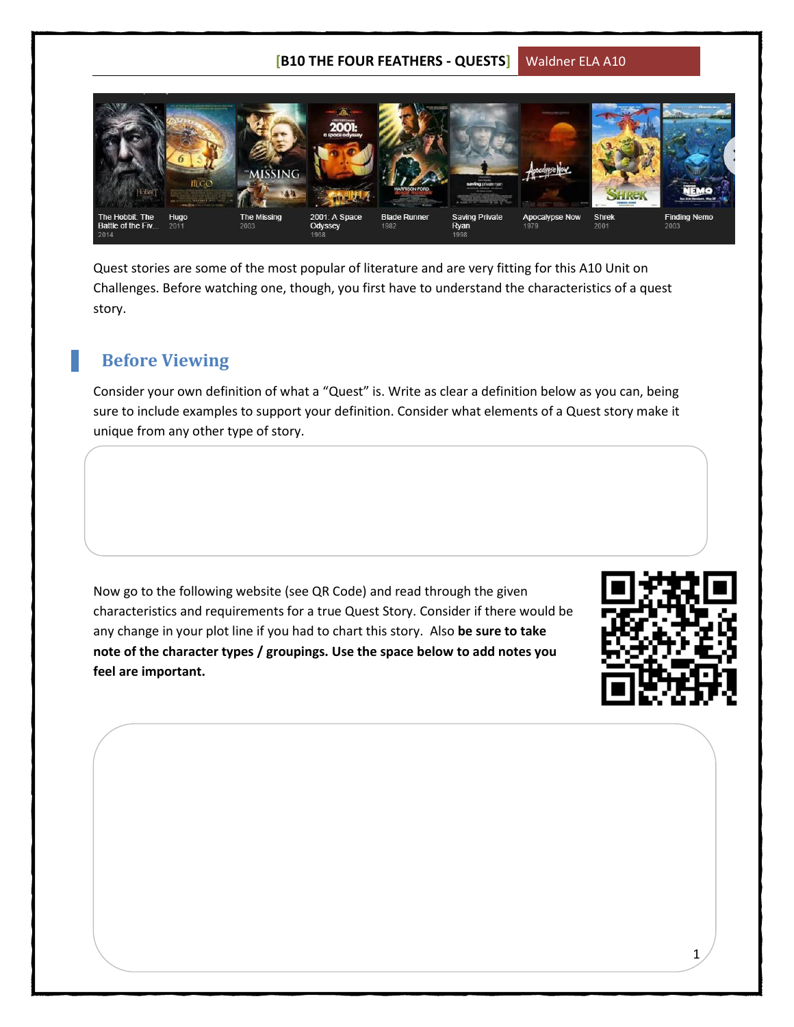## **[B10 THE FOUR FEATHERS - QUESTS]** Waldner ELA A10



Quest stories are some of the most popular of literature and are very fitting for this A10 Unit on Challenges. Before watching one, though, you first have to understand the characteristics of a quest story.

## **Before Viewing**

Consider your own definition of what a "Quest" is. Write as clear a definition below as you can, being sure to include examples to support your definition. Consider what elements of a Quest story make it unique from any other type of story.

Now go to the following website (see QR Code) and read through the given characteristics and requirements for a true Quest Story. Consider if there would be any change in your plot line if you had to chart this story. Also **be sure to take note of the character types / groupings. Use the space below to add notes you feel are important.**